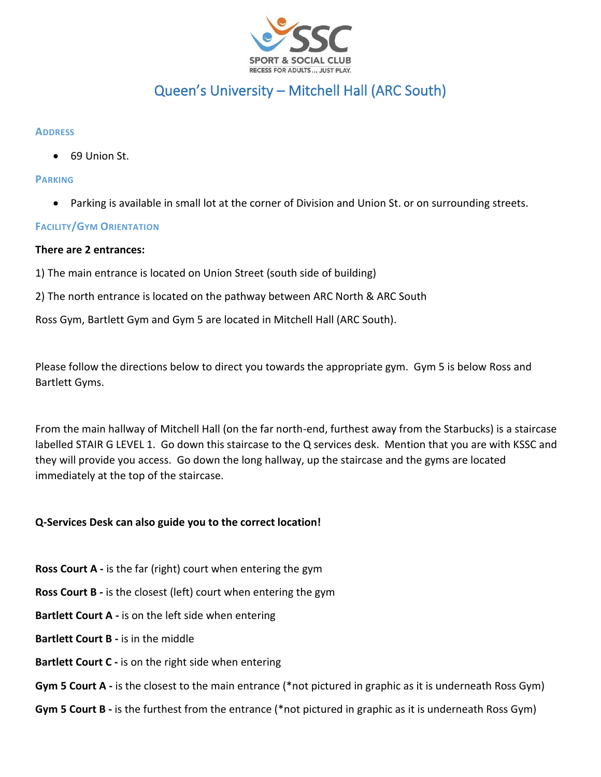

# Queen's University – Mitchell Hall (ARC South)

#### **ADDRESS**

• 69 Union St.

#### **PARKING**

• Parking is available in small lot at the corner of Division and Union St. or on surrounding streets.

## **FACILITY/GYM ORIENTATION**

## **There are 2 entrances:**

1) The main entrance is located on Union Street (south side of building)

2) The north entrance is located on the pathway between ARC North & ARC South

Ross Gym, Bartlett Gym and Gym 5 are located in Mitchell Hall (ARC South).

Please follow the directions below to direct you towards the appropriate gym. Gym 5 is below Ross and Bartlett Gyms.

From the main hallway of Mitchell Hall (on the far north-end, furthest away from the Starbucks) is a staircase labelled STAIR G LEVEL 1. Go down this staircase to the Q services desk. Mention that you are with KSSC and they will provide you access. Go down the long hallway, up the staircase and the gyms are located immediately at the top of the staircase.

## **Q-Services Desk can also guide you to the correct location!**

- **Ross Court A -** is the far (right) court when entering the gym
- **Ross Court B -** is the closest (left) court when entering the gym
- **Bartlett Court A -** is on the left side when entering
- **Bartlett Court B -** is in the middle
- **Bartlett Court C -** is on the right side when entering
- **Gym 5 Court A -** is the closest to the main entrance (\*not pictured in graphic as it is underneath Ross Gym)
- **Gym 5 Court B -** is the furthest from the entrance (\*not pictured in graphic as it is underneath Ross Gym)